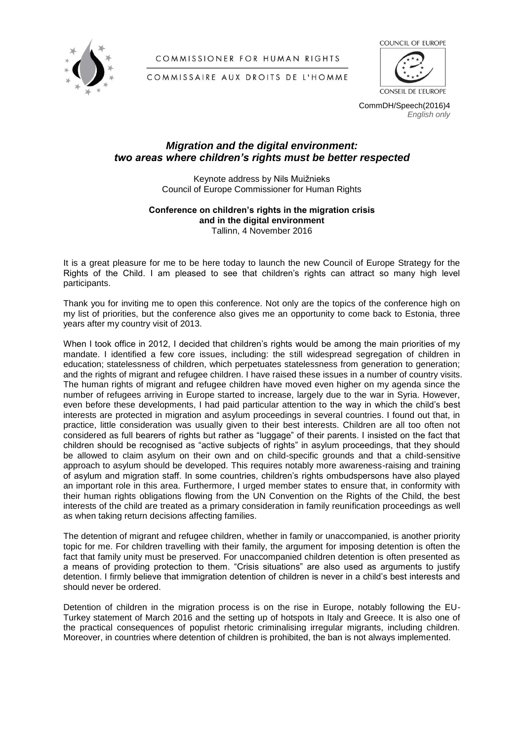

COMMISSIONER FOR HUMAN RIGHTS



CONSEIL DE L'EUROPE

COMMISSAIRE AUX DROITS DE L'HOMME

CommDH/Speech(2016)4 *English only*

## *Migration and the digital environment: two areas where children's rights must be better respected*

Keynote address by Nils Muižnieks Council of Europe Commissioner for Human Rights

## **Conference on children's rights in the migration crisis and in the digital environment** Tallinn, 4 November 2016

It is a great pleasure for me to be here today to launch the new Council of Europe Strategy for the Rights of the Child. I am pleased to see that children's rights can attract so many high level participants.

Thank you for inviting me to open this conference. Not only are the topics of the conference high on my list of priorities, but the conference also gives me an opportunity to come back to Estonia, three years after my country visit of 2013.

When I took office in 2012, I decided that children's rights would be among the main priorities of my mandate. I identified a few core issues, including: the still widespread segregation of children in education; statelessness of children, which perpetuates statelessness from generation to generation; and the rights of migrant and refugee children. I have raised these issues in a number of country visits. The human rights of migrant and refugee children have moved even higher on my agenda since the number of refugees arriving in Europe started to increase, largely due to the war in Syria. However, even before these developments, I had paid particular attention to the way in which the child's best interests are protected in migration and asylum proceedings in several countries. I found out that, in practice, little consideration was usually given to their best interests. Children are all too often not considered as full bearers of rights but rather as "luggage" of their parents. I insisted on the fact that children should be recognised as "active subjects of rights" in asylum proceedings, that they should be allowed to claim asylum on their own and on child-specific grounds and that a child-sensitive approach to asylum should be developed. This requires notably more awareness-raising and training of asylum and migration staff. In some countries, children's rights ombudspersons have also played an important role in this area. Furthermore, I urged member states to ensure that, in conformity with their human rights obligations flowing from the UN Convention on the Rights of the Child, the best interests of the child are treated as a primary consideration in family reunification proceedings as well as when taking return decisions affecting families.

The detention of migrant and refugee children, whether in family or unaccompanied, is another priority topic for me. For children travelling with their family, the argument for imposing detention is often the fact that family unity must be preserved. For unaccompanied children detention is often presented as a means of providing protection to them. "Crisis situations" are also used as arguments to justify detention. I firmly believe that immigration detention of children is never in a child's best interests and should never be ordered.

Detention of children in the migration process is on the rise in Europe, notably following the EU-Turkey statement of March 2016 and the setting up of hotspots in Italy and Greece. It is also one of the practical consequences of populist rhetoric criminalising irregular migrants, including children. Moreover, in countries where detention of children is prohibited, the ban is not always implemented.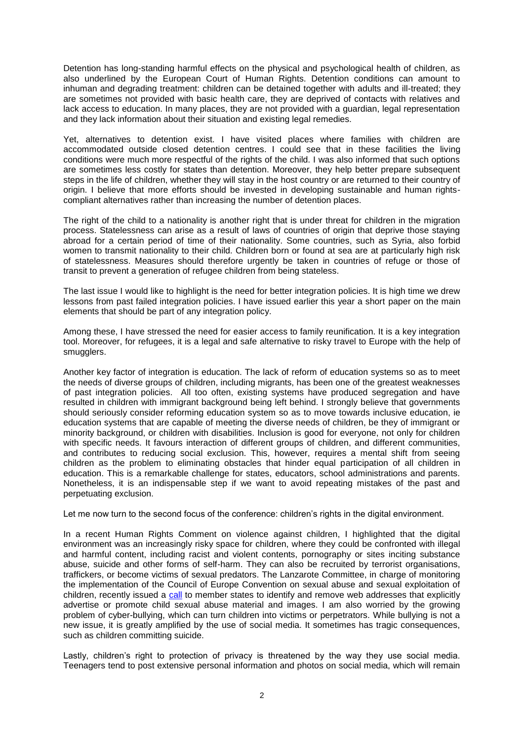Detention has long-standing harmful effects on the physical and psychological health of children, as also underlined by the European Court of Human Rights. Detention conditions can amount to inhuman and degrading treatment: children can be detained together with adults and ill-treated; they are sometimes not provided with basic health care, they are deprived of contacts with relatives and lack access to education. In many places, they are not provided with a guardian, legal representation and they lack information about their situation and existing legal remedies.

Yet, alternatives to detention exist. I have visited places where families with children are accommodated outside closed detention centres. I could see that in these facilities the living conditions were much more respectful of the rights of the child. I was also informed that such options are sometimes less costly for states than detention. Moreover, they help better prepare subsequent steps in the life of children, whether they will stay in the host country or are returned to their country of origin. I believe that more efforts should be invested in developing sustainable and human rightscompliant alternatives rather than increasing the number of detention places.

The right of the child to a nationality is another right that is under threat for children in the migration process. Statelessness can arise as a result of laws of countries of origin that deprive those staying abroad for a certain period of time of their nationality. Some countries, such as Syria, also forbid women to transmit nationality to their child. Children born or found at sea are at particularly high risk of statelessness. Measures should therefore urgently be taken in countries of refuge or those of transit to prevent a generation of refugee children from being stateless.

The last issue I would like to highlight is the need for better integration policies. It is high time we drew lessons from past failed integration policies. I have issued earlier this year a short paper on the main elements that should be part of any integration policy.

Among these, I have stressed the need for easier access to family reunification. It is a key integration tool. Moreover, for refugees, it is a legal and safe alternative to risky travel to Europe with the help of smugglers.

Another key factor of integration is education. The lack of reform of education systems so as to meet the needs of diverse groups of children, including migrants, has been one of the greatest weaknesses of past integration policies. All too often, existing systems have produced segregation and have resulted in children with immigrant background being left behind. I strongly believe that governments should seriously consider reforming education system so as to move towards inclusive education, ie education systems that are capable of meeting the diverse needs of children, be they of immigrant or minority background, or children with disabilities. Inclusion is good for everyone, not only for children with specific needs. It favours interaction of different groups of children, and different communities, and contributes to reducing social exclusion. This, however, requires a mental shift from seeing children as the problem to eliminating obstacles that hinder equal participation of all children in education. This is a remarkable challenge for states, educators, school administrations and parents. Nonetheless, it is an indispensable step if we want to avoid repeating mistakes of the past and perpetuating exclusion.

Let me now turn to the second focus of the conference: children's rights in the digital environment.

In a recent Human Rights Comment on violence against children, I highlighted that the digital environment was an increasingly risky space for children, where they could be confronted with illegal and harmful content, including racist and violent contents, pornography or sites inciting substance abuse, suicide and other forms of self-harm. They can also be recruited by terrorist organisations, traffickers, or become victims of sexual predators. The Lanzarote Committee, in charge of monitoring the implementation of the Council of Europe Convention on sexual abuse and sexual exploitation of children, recently issued a [call](https://rm.coe.int/CoERMPublicCommonSearchServices/DisplayDCTMContent?documentId=090000168066cffa) to member states to identify and remove web addresses that explicitly advertise or promote child sexual abuse material and images. I am also worried by the growing problem of cyber-bullying, which can turn children into victims or perpetrators. While bullying is not a new issue, it is greatly amplified by the use of social media. It sometimes has tragic consequences, such as children committing suicide.

Lastly, children's right to protection of privacy is threatened by the way they use social media. Teenagers tend to post extensive personal information and photos on social media, which will remain